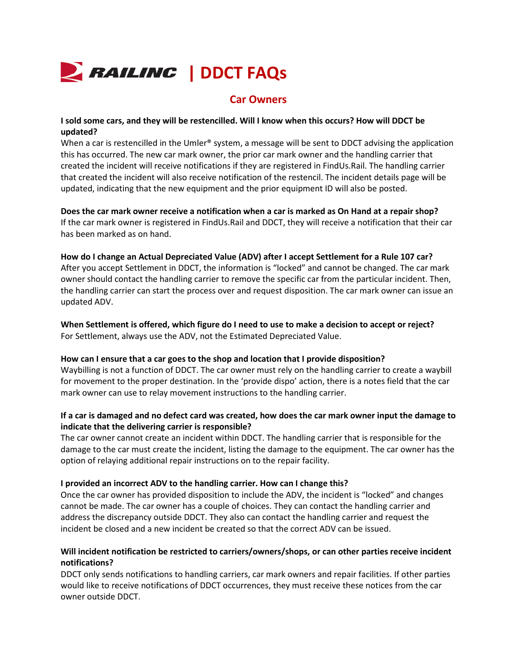

# **Car Owners**

## **I sold some cars, and they will be restencilled. Will I know when this occurs? How will DDCT be updated?**

When a car is restencilled in the Umler® system, a message will be sent to DDCT advising the application this has occurred. The new car mark owner, the prior car mark owner and the handling carrier that created the incident will receive notifications if they are registered in FindUs.Rail. The handling carrier that created the incident will also receive notification of the restencil. The incident details page will be updated, indicating that the new equipment and the prior equipment ID will also be posted.

**Does the car mark owner receive a notification when a car is marked as On Hand at a repair shop?** If the car mark owner is registered in FindUs.Rail and DDCT, they will receive a notification that their car has been marked as on hand.

### **How do I change an Actual Depreciated Value (ADV) after I accept Settlement for a Rule 107 car?**

After you accept Settlement in DDCT, the information is "locked" and cannot be changed. The car mark owner should contact the handling carrier to remove the specific car from the particular incident. Then, the handling carrier can start the process over and request disposition. The car mark owner can issue an updated ADV.

### **When Settlement is offered, which figure do I need to use to make a decision to accept or reject?** For Settlement, always use the ADV, not the Estimated Depreciated Value.

### **How can I ensure that a car goes to the shop and location that I provide disposition?**

Waybilling is not a function of DDCT. The car owner must rely on the handling carrier to create a waybill for movement to the proper destination. In the 'provide dispo' action, there is a notes field that the car mark owner can use to relay movement instructions to the handling carrier.

# **If a car is damaged and no defect card was created, how does the car mark owner input the damage to indicate that the delivering carrier is responsible?**

The car owner cannot create an incident within DDCT. The handling carrier that is responsible for the damage to the car must create the incident, listing the damage to the equipment. The car owner has the option of relaying additional repair instructions on to the repair facility.

### **I provided an incorrect ADV to the handling carrier. How can I change this?**

Once the car owner has provided disposition to include the ADV, the incident is "locked" and changes cannot be made. The car owner has a couple of choices. They can contact the handling carrier and address the discrepancy outside DDCT. They also can contact the handling carrier and request the incident be closed and a new incident be created so that the correct ADV can be issued.

# **Will incident notification be restricted to carriers/owners/shops, or can other parties receive incident notifications?**

DDCT only sends notifications to handling carriers, car mark owners and repair facilities. If other parties would like to receive notifications of DDCT occurrences, they must receive these notices from the car owner outside DDCT.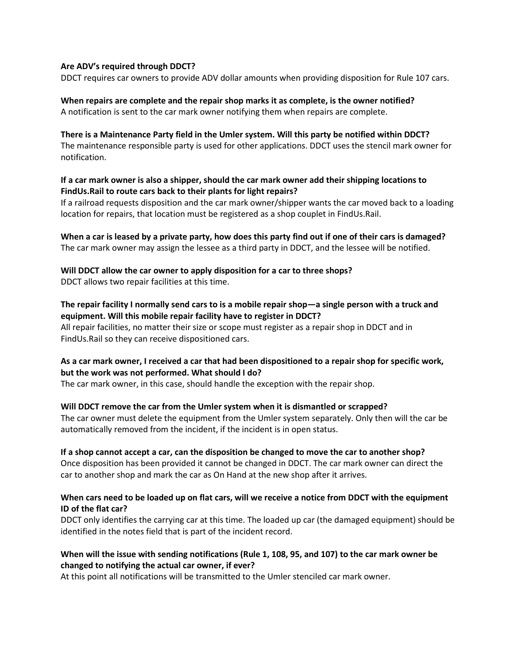## **Are ADV's required through DDCT?**

DDCT requires car owners to provide ADV dollar amounts when providing disposition for Rule 107 cars.

### **When repairs are complete and the repair shop marks it as complete, is the owner notified?** A notification is sent to the car mark owner notifying them when repairs are complete.

### **There is a Maintenance Party field in the Umler system. Will this party be notified within DDCT?**

The maintenance responsible party is used for other applications. DDCT uses the stencil mark owner for notification.

## **If a car mark owner is also a shipper, should the car mark owner add their shipping locations to FindUs.Rail to route cars back to their plants for light repairs?**

If a railroad requests disposition and the car mark owner/shipper wants the car moved back to a loading location for repairs, that location must be registered as a shop couplet in FindUs.Rail.

# **When a car is leased by a private party, how does this party find out if one of their cars is damaged?** The car mark owner may assign the lessee as a third party in DDCT, and the lessee will be notified.

**Will DDCT allow the car owner to apply disposition for a car to three shops?** DDCT allows two repair facilities at this time.

# **The repair facility I normally send cars to is a mobile repair shop—a single person with a truck and equipment. Will this mobile repair facility have to register in DDCT?**

All repair facilities, no matter their size or scope must register as a repair shop in DDCT and in FindUs.Rail so they can receive dispositioned cars.

# **As a car mark owner, I received a car that had been dispositioned to a repair shop for specific work, but the work was not performed. What should I do?**

The car mark owner, in this case, should handle the exception with the repair shop.

## **Will DDCT remove the car from the Umler system when it is dismantled or scrapped?**

The car owner must delete the equipment from the Umler system separately. Only then will the car be automatically removed from the incident, if the incident is in open status.

### **If a shop cannot accept a car, can the disposition be changed to move the car to another shop?**

Once disposition has been provided it cannot be changed in DDCT. The car mark owner can direct the car to another shop and mark the car as On Hand at the new shop after it arrives.

## **When cars need to be loaded up on flat cars, will we receive a notice from DDCT with the equipment ID of the flat car?**

DDCT only identifies the carrying car at this time. The loaded up car (the damaged equipment) should be identified in the notes field that is part of the incident record.

# **When will the issue with sending notifications (Rule 1, 108, 95, and 107) to the car mark owner be changed to notifying the actual car owner, if ever?**

At this point all notifications will be transmitted to the Umler stenciled car mark owner.